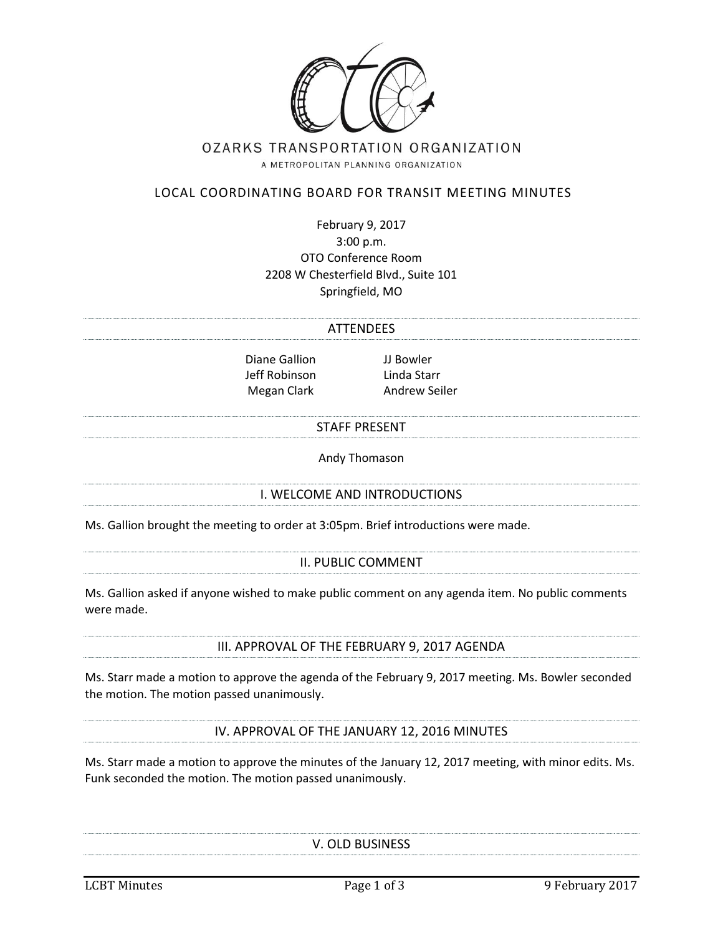

# OZARKS TRANSPORTATION ORGANIZATION

A METROPOLITAN PLANNING ORGANIZATION

#### LOCAL COORDINATING BOARD FOR TRANSIT MEETING MINUTES

February 9, 2017 3:00 p.m. OTO Conference Room 2208 W Chesterfield Blvd., Suite 101 Springfield, MO

# **ATTENDEES**

Diane Gallion JJ Bowler Jeff Robinson Linda Starr

Megan Clark **Andrew Seiler** 

#### STAFF PRESENT

Andy Thomason

#### I. WELCOME AND INTRODUCTIONS

Ms. Gallion brought the meeting to order at 3:05pm. Brief introductions were made.

#### II. PUBLIC COMMENT

Ms. Gallion asked if anyone wished to make public comment on any agenda item. No public comments were made.

III. APPROVAL OF THE FEBRUARY 9, 2017 AGENDA

Ms. Starr made a motion to approve the agenda of the February 9, 2017 meeting. Ms. Bowler seconded the motion. The motion passed unanimously.

IV. APPROVAL OF THE JANUARY 12, 2016 MINUTES

Ms. Starr made a motion to approve the minutes of the January 12, 2017 meeting, with minor edits. Ms. Funk seconded the motion. The motion passed unanimously.

V. OLD BUSINESS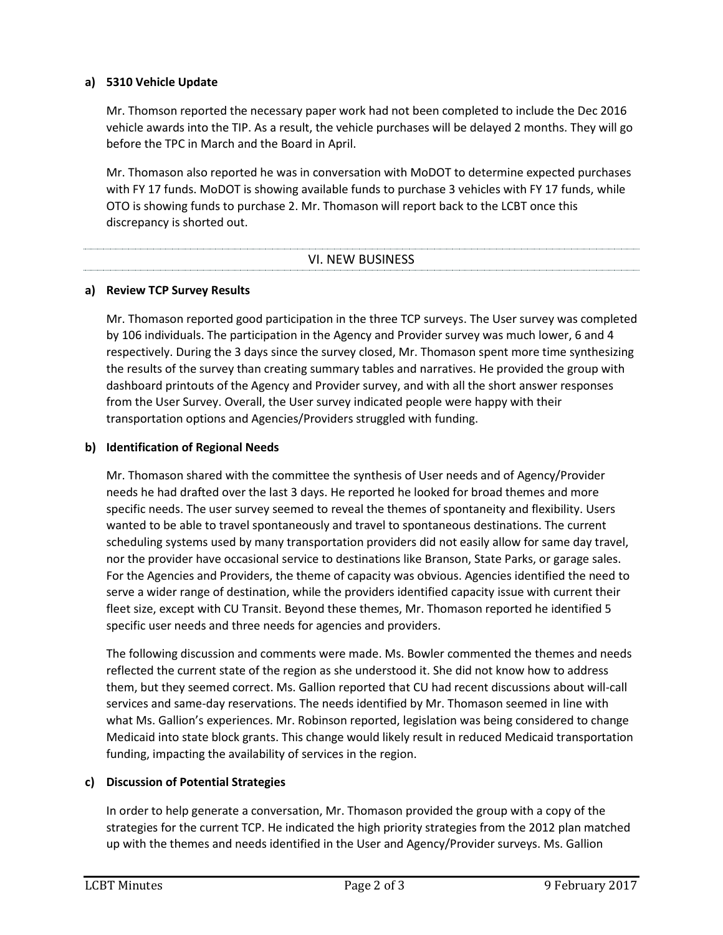### **a) 5310 Vehicle Update**

Mr. Thomson reported the necessary paper work had not been completed to include the Dec 2016 vehicle awards into the TIP. As a result, the vehicle purchases will be delayed 2 months. They will go before the TPC in March and the Board in April.

Mr. Thomason also reported he was in conversation with MoDOT to determine expected purchases with FY 17 funds. MoDOT is showing available funds to purchase 3 vehicles with FY 17 funds, while OTO is showing funds to purchase 2. Mr. Thomason will report back to the LCBT once this discrepancy is shorted out.

#### VI. NEW BUSINESS

#### **a) Review TCP Survey Results**

Mr. Thomason reported good participation in the three TCP surveys. The User survey was completed by 106 individuals. The participation in the Agency and Provider survey was much lower, 6 and 4 respectively. During the 3 days since the survey closed, Mr. Thomason spent more time synthesizing the results of the survey than creating summary tables and narratives. He provided the group with dashboard printouts of the Agency and Provider survey, and with all the short answer responses from the User Survey. Overall, the User survey indicated people were happy with their transportation options and Agencies/Providers struggled with funding.

#### **b) Identification of Regional Needs**

Mr. Thomason shared with the committee the synthesis of User needs and of Agency/Provider needs he had drafted over the last 3 days. He reported he looked for broad themes and more specific needs. The user survey seemed to reveal the themes of spontaneity and flexibility. Users wanted to be able to travel spontaneously and travel to spontaneous destinations. The current scheduling systems used by many transportation providers did not easily allow for same day travel, nor the provider have occasional service to destinations like Branson, State Parks, or garage sales. For the Agencies and Providers, the theme of capacity was obvious. Agencies identified the need to serve a wider range of destination, while the providers identified capacity issue with current their fleet size, except with CU Transit. Beyond these themes, Mr. Thomason reported he identified 5 specific user needs and three needs for agencies and providers.

The following discussion and comments were made. Ms. Bowler commented the themes and needs reflected the current state of the region as she understood it. She did not know how to address them, but they seemed correct. Ms. Gallion reported that CU had recent discussions about will-call services and same-day reservations. The needs identified by Mr. Thomason seemed in line with what Ms. Gallion's experiences. Mr. Robinson reported, legislation was being considered to change Medicaid into state block grants. This change would likely result in reduced Medicaid transportation funding, impacting the availability of services in the region.

### **c) Discussion of Potential Strategies**

In order to help generate a conversation, Mr. Thomason provided the group with a copy of the strategies for the current TCP. He indicated the high priority strategies from the 2012 plan matched up with the themes and needs identified in the User and Agency/Provider surveys. Ms. Gallion